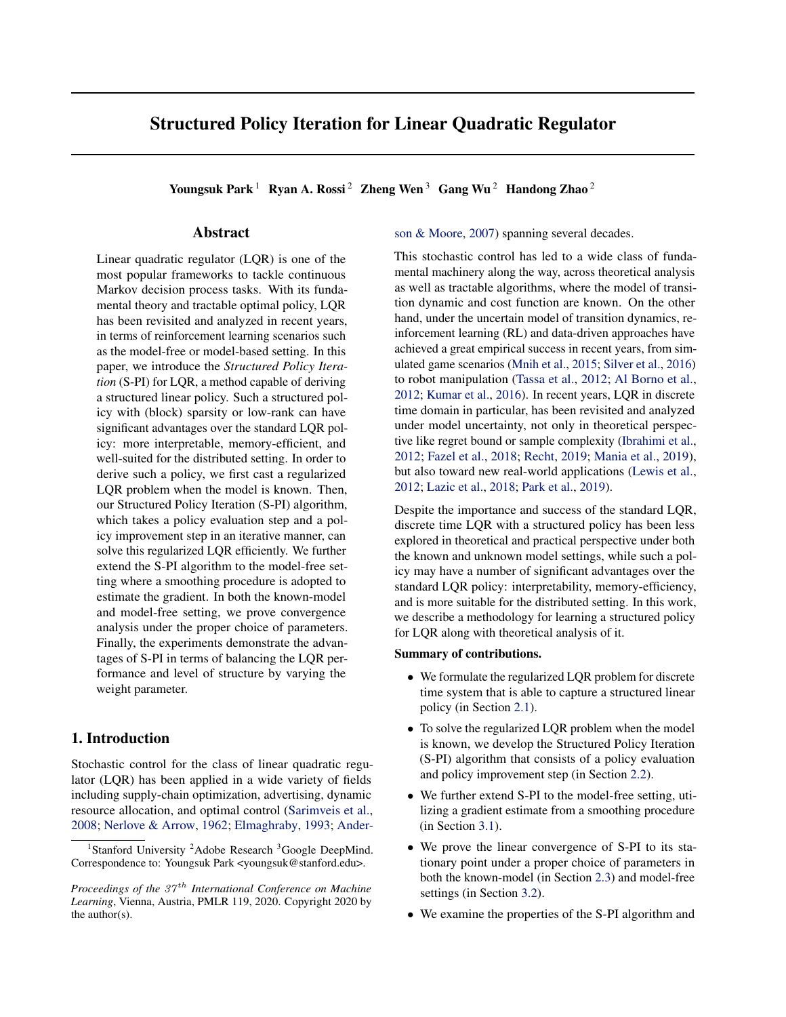# Structured Policy Iteration for Linear Quadratic Regulator

Youngsuk Park<sup>1</sup> Ryan A. Rossi<sup>2</sup> Zheng Wen<sup>3</sup> Gang Wu<sup>2</sup> Handong Zhao<sup>2</sup>

# Abstract

Linear quadratic regulator (LQR) is one of the most popular frameworks to tackle continuous Markov decision process tasks. With its fundamental theory and tractable optimal policy, LQR has been revisited and analyzed in recent years, in terms of reinforcement learning scenarios such as the model-free or model-based setting. In this paper, we introduce the *Structured Policy Iteration* (S-PI) for LQR, a method capable of deriving a structured linear policy. Such a structured policy with (block) sparsity or low-rank can have significant advantages over the standard LQR policy: more interpretable, memory-efficient, and well-suited for the distributed setting. In order to derive such a policy, we first cast a regularized LQR problem when the model is known. Then, our Structured Policy Iteration (S-PI) algorithm, which takes a policy evaluation step and a policy improvement step in an iterative manner, can solve this regularized LQR efficiently. We further extend the S-PI algorithm to the model-free setting where a smoothing procedure is adopted to estimate the gradient. In both the known-model and model-free setting, we prove convergence analysis under the proper choice of parameters. Finally, the experiments demonstrate the advantages of S-PI in terms of balancing the LQR performance and level of structure by varying the weight parameter.

# 1. Introduction

Stochastic control for the class of linear quadratic regulator (LQR) has been applied in a wide variety of fields including supply-chain optimization, advertising, dynamic resource allocation, and optimal control [\(Sarimveis et al.,](#page-9-0) [2008;](#page-9-0) [Nerlove & Arrow,](#page-9-0) [1962;](#page-9-0) [Elmaghraby,](#page-8-0) [1993;](#page-8-0) [Ander-](#page-8-0) [son & Moore,](#page-8-0) [2007\)](#page-8-0) spanning several decades.

This stochastic control has led to a wide class of fundamental machinery along the way, across theoretical analysis as well as tractable algorithms, where the model of transition dynamic and cost function are known. On the other hand, under the uncertain model of transition dynamics, reinforcement learning (RL) and data-driven approaches have achieved a great empirical success in recent years, from simulated game scenarios [\(Mnih et al.,](#page-9-0) [2015;](#page-9-0) [Silver et al.,](#page-9-0) [2016\)](#page-9-0) to robot manipulation [\(Tassa et al.,](#page-9-0) [2012;](#page-9-0) [Al Borno et al.,](#page-8-0) [2012;](#page-8-0) [Kumar et al.,](#page-8-0) [2016\)](#page-8-0). In recent years, LQR in discrete time domain in particular, has been revisited and analyzed under model uncertainty, not only in theoretical perspective like regret bound or sample complexity [\(Ibrahimi et al.,](#page-8-0) [2012;](#page-8-0) [Fazel et al.,](#page-8-0) [2018;](#page-8-0) [Recht,](#page-9-0) [2019;](#page-9-0) [Mania et al.,](#page-9-0) [2019\)](#page-9-0), but also toward new real-world applications [\(Lewis et al.,](#page-9-0) [2012;](#page-9-0) [Lazic et al.,](#page-8-0) [2018;](#page-8-0) [Park et al.,](#page-9-0) [2019\)](#page-9-0).

Despite the importance and success of the standard LQR, discrete time LQR with a structured policy has been less explored in theoretical and practical perspective under both the known and unknown model settings, while such a policy may have a number of significant advantages over the standard LQR policy: interpretability, memory-efficiency, and is more suitable for the distributed setting. In this work, we describe a methodology for learning a structured policy for LQR along with theoretical analysis of it.

#### Summary of contributions.

- We formulate the regularized LQR problem for discrete time system that is able to capture a structured linear policy (in Section [2.1\)](#page-2-0).
- To solve the regularized LQR problem when the model is known, we develop the Structured Policy Iteration (S-PI) algorithm that consists of a policy evaluation and policy improvement step (in Section [2.2\)](#page-2-0).
- We further extend S-PI to the model-free setting, utilizing a gradient estimate from a smoothing procedure (in Section [3.1\)](#page-5-0).
- We prove the linear convergence of S-PI to its stationary point under a proper choice of parameters in both the known-model (in Section [2.3\)](#page-4-0) and model-free settings (in Section [3.2\)](#page-5-0).
- We examine the properties of the S-PI algorithm and

<sup>&</sup>lt;sup>1</sup>[Stanford University](#page-8-0) <sup>2</sup>Adobe Research <sup>3</sup>Google DeepMind. [Correspondence to: Youngsuk Park <youngsuk@stanford.edu>.](#page-8-0)

*Proceedings of the 37<sup>th</sup> [International Conference on Machine](#page-8-0) Learning*[, Vienna, Austria, PMLR 119, 2020. Copyright 2020 by](#page-8-0) [the author\(s\).](#page-8-0)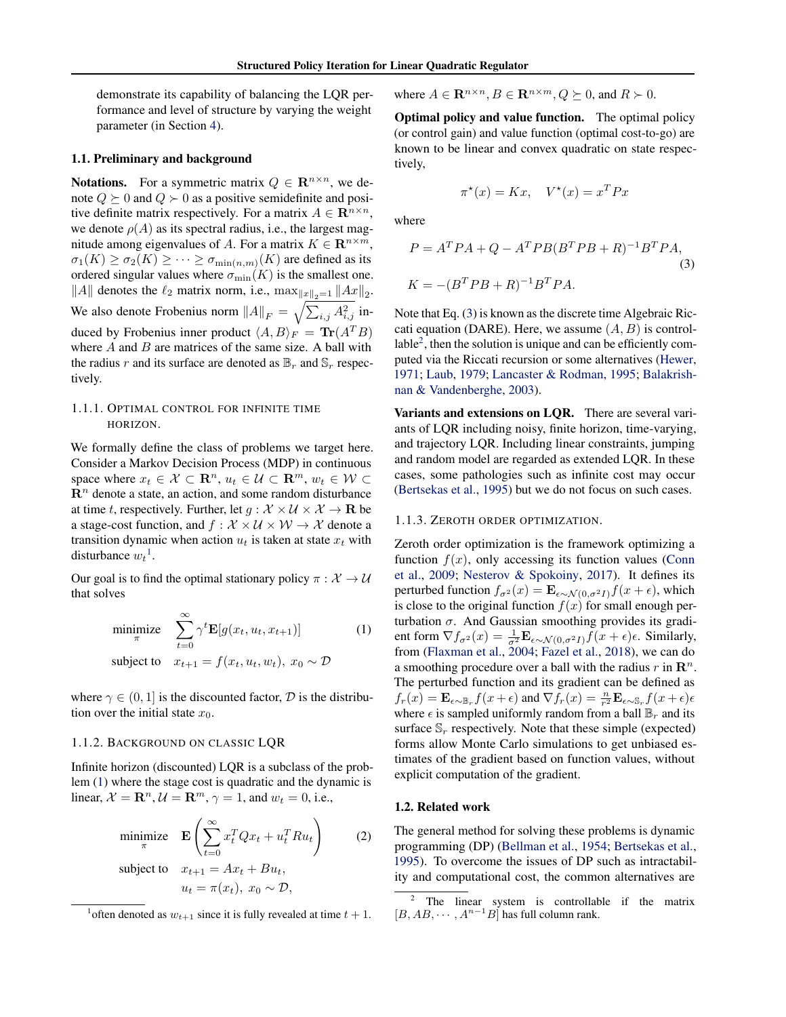<span id="page-1-0"></span>demonstrate its capability of balancing the LQR performance and level of structure by varying the weight parameter (in Section [4\)](#page-6-0).

#### 1.1. Preliminary and background

**Notations.** For a symmetric matrix  $Q \in \mathbb{R}^{n \times n}$ , we denote  $Q \succeq 0$  and  $Q \succ 0$  as a positive semidefinite and positive definite matrix respectively. For a matrix  $A \in \mathbb{R}^{n \times n}$ , we denote  $\rho(A)$  as its spectral radius, i.e., the largest magnitude among eigenvalues of A. For a matrix  $K \in \mathbb{R}^{n \times m}$ ,  $\sigma_1(K) \geq \sigma_2(K) \geq \cdots \geq \sigma_{\min(n,m)}(K)$  are defined as its ordered singular values where  $\sigma_{\min}(K)$  is the smallest one. ||A|| denotes the  $\ell_2$  matrix norm, i.e.,  $\max_{\|x\|_2=1} \|Ax\|_2$ . We also denote Frobenius norm  $||A||_F = \sqrt{\sum_{i,j} A_{i,j}^2}$  induced by Frobenius inner product  $\langle A, B \rangle_F = \text{Tr}(A^T B)$ where  $A$  and  $B$  are matrices of the same size. A ball with the radius r and its surface are denoted as  $\mathbb{B}_r$  and  $\mathbb{S}_r$  respectively.

### 1.1.1. OPTIMAL CONTROL FOR INFINITE TIME HORIZON.

We formally define the class of problems we target here. Consider a Markov Decision Process (MDP) in continuous space where  $x_t \in \mathcal{X} \subset \mathbb{R}^n$ ,  $u_t \in \mathcal{U} \subset \mathbb{R}^m$ ,  $w_t \in \mathcal{W} \subset$  $\mathbb{R}^n$  denote a state, an action, and some random disturbance at time t, respectively. Further, let  $q : \mathcal{X} \times \mathcal{U} \times \mathcal{X} \rightarrow \mathbf{R}$  be a stage-cost function, and  $f : \mathcal{X} \times \mathcal{U} \times \mathcal{W} \rightarrow \mathcal{X}$  denote a transition dynamic when action  $u_t$  is taken at state  $x_t$  with disturbance  $w_t$ <sup>1</sup>.

Our goal is to find the optimal stationary policy  $\pi : \mathcal{X} \to \mathcal{U}$ that solves

$$
\underset{\pi}{\text{minimize}} \quad \sum_{t=0}^{\infty} \gamma^t \mathbf{E}[g(x_t, u_t, x_{t+1})] \tag{1}
$$

subject to  $x_{t+1} = f(x_t, u_t, w_t), x_0 \sim \mathcal{D}$ 

where  $\gamma \in (0, 1]$  is the discounted factor,  $\mathcal{D}$  is the distribution over the initial state  $x_0$ .

### 1.1.2. BACKGROUND ON CLASSIC LQR

Infinite horizon (discounted) LQR is a subclass of the problem (1) where the stage cost is quadratic and the dynamic is linear,  $\mathcal{X} = \mathbb{R}^n$ ,  $\mathcal{U} = \mathbb{R}^m$ ,  $\gamma = 1$ , and  $w_t = 0$ , i.e.,

minimize 
$$
\mathbf{E}\left(\sum_{t=0}^{\infty} x_t^T Q x_t + u_t^T R u_t\right)
$$
 (2)  
subject to  $x_{t+1} = Ax_t + Bu_t$ ,  
 $u_t = \pi(x_t), x_0 \sim \mathcal{D}$ ,

where 
$$
A \in \mathbb{R}^{n \times n}
$$
,  $B \in \mathbb{R}^{n \times m}$ ,  $Q \succeq 0$ , and  $R \succ 0$ .

Optimal policy and value function. The optimal policy (or control gain) and value function (optimal cost-to-go) are known to be linear and convex quadratic on state respectively,

$$
\pi^*(x) = Kx, \quad V^*(x) = x^T P x
$$

where

$$
P = AT PA + Q - ATP B (BT PB + R)-1 BT PA,
$$
  
(3)  

$$
K = -(BT PB + R)-1 BT PA.
$$

Note that Eq. (3) is known as the discrete time Algebraic Riccati equation (DARE). Here, we assume  $(A, B)$  is controllable<sup>2</sup>, then the solution is unique and can be efficiently computed via the Riccati recursion or some alternatives [\(Hewer,](#page-8-0) [1971;](#page-8-0) [Laub,](#page-8-0) [1979;](#page-8-0) [Lancaster & Rodman,](#page-8-0) [1995;](#page-8-0) [Balakrish](#page-8-0)[nan & Vandenberghe,](#page-8-0) [2003\)](#page-8-0).

Variants and extensions on LOR. There are several variants of LQR including noisy, finite horizon, time-varying, and trajectory LQR. Including linear constraints, jumping and random model are regarded as extended LQR. In these cases, some pathologies such as infinite cost may occur [\(Bertsekas et al.,](#page-8-0) [1995\)](#page-8-0) but we do not focus on such cases.

#### 1.1.3. ZEROTH ORDER OPTIMIZATION.

Zeroth order optimization is the framework optimizing a function  $f(x)$ , only accessing its function values [\(Conn](#page-8-0) [et al.,](#page-8-0) [2009;](#page-8-0) [Nesterov & Spokoiny,](#page-9-0) [2017\)](#page-9-0). It defines its perturbed function  $f_{\sigma^2}(x) = \mathbf{E}_{\epsilon \sim \mathcal{N}(0, \sigma^2 I)} f(x + \epsilon)$ , which is close to the original function  $f(x)$  for small enough perturbation  $\sigma$ . And Gaussian smoothing provides its gradient form  $\nabla f_{\sigma^2}(x) = \frac{1}{\sigma^2} \mathbf{E}_{\epsilon \sim \mathcal{N}(0, \sigma^2 I)} f(x + \epsilon) \epsilon$ . Similarly, from [\(Flaxman et al.,](#page-8-0) [2004;](#page-8-0) [Fazel et al.,](#page-8-0) [2018\)](#page-8-0), we can do a smoothing procedure over a ball with the radius r in  $\mathbb{R}^n$ . The perturbed function and its gradient can be defined as  $f_r(x) = \mathbf{E}_{\epsilon \sim \mathbb{B}_r} f(x + \epsilon)$  and  $\nabla f_r(x) = \frac{n}{r^2} \mathbf{E}_{\epsilon \sim \mathbb{S}_r} f(x + \epsilon) \epsilon$ where  $\epsilon$  is sampled uniformly random from a ball  $\mathbb{B}_r$  and its surface  $\mathbb{S}_r$  respectively. Note that these simple (expected) forms allow Monte Carlo simulations to get unbiased estimates of the gradient based on function values, without explicit computation of the gradient.

### 1.2. Related work

The general method for solving these problems is dynamic programming (DP) [\(Bellman et al.,](#page-8-0) [1954;](#page-8-0) [Bertsekas et al.,](#page-8-0) [1995\)](#page-8-0). To overcome the issues of DP such as intractability and computational cost, the common alternatives are

<sup>&</sup>lt;sup>1</sup> often denoted as  $w_{t+1}$  since it is fully revealed at time  $t + 1$ .

 $2$  The linear system is controllable if the matrix  $[B, AB, \cdots, A^{n-1}B]$  has full column rank.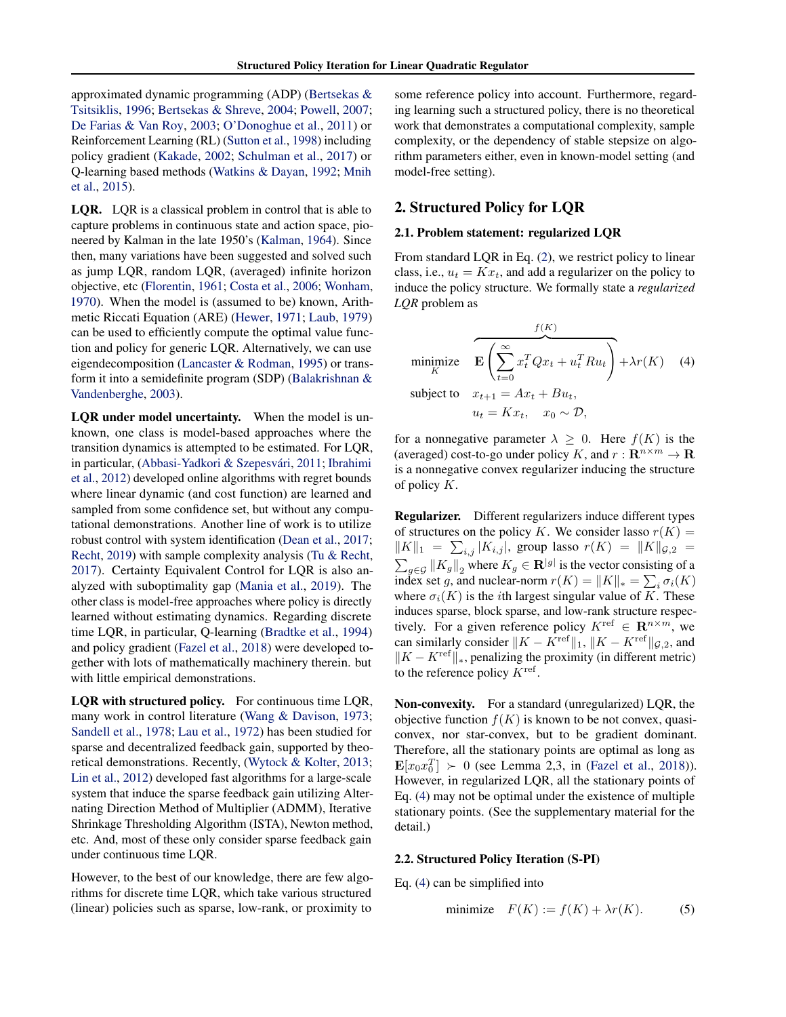<span id="page-2-0"></span>approximated dynamic programming (ADP) [\(Bertsekas &](#page-8-0) [Tsitsiklis,](#page-8-0) [1996;](#page-8-0) [Bertsekas & Shreve,](#page-8-0) [2004;](#page-8-0) [Powell,](#page-9-0) [2007;](#page-9-0) [De Farias & Van Roy,](#page-8-0) [2003;](#page-8-0) [O'Donoghue et al.,](#page-9-0) [2011\)](#page-9-0) or Reinforcement Learning (RL) [\(Sutton et al.,](#page-9-0) [1998\)](#page-9-0) including policy gradient [\(Kakade,](#page-8-0) [2002;](#page-8-0) [Schulman et al.,](#page-9-0) [2017\)](#page-9-0) or Q-learning based methods [\(Watkins & Dayan,](#page-9-0) [1992;](#page-9-0) [Mnih](#page-9-0) [et al.,](#page-9-0) [2015\)](#page-9-0).

LQR. LQR is a classical problem in control that is able to capture problems in continuous state and action space, pioneered by Kalman in the late 1950's [\(Kalman,](#page-8-0) [1964\)](#page-8-0). Since then, many variations have been suggested and solved such as jump LQR, random LQR, (averaged) infinite horizon objective, etc [\(Florentin,](#page-8-0) [1961;](#page-8-0) [Costa et al.,](#page-8-0) [2006;](#page-8-0) [Wonham,](#page-10-0) [1970\)](#page-10-0). When the model is (assumed to be) known, Arithmetic Riccati Equation (ARE) [\(Hewer,](#page-8-0) [1971;](#page-8-0) [Laub,](#page-8-0) [1979\)](#page-8-0) can be used to efficiently compute the optimal value function and policy for generic LQR. Alternatively, we can use eigendecomposition [\(Lancaster & Rodman,](#page-8-0) [1995\)](#page-8-0) or transform it into a semidefinite program (SDP) [\(Balakrishnan &](#page-8-0) [Vandenberghe,](#page-8-0) [2003\)](#page-8-0).

LQR under model uncertainty. When the model is unknown, one class is model-based approaches where the transition dynamics is attempted to be estimated. For LQR, in particular, [\(Abbasi-Yadkori & Szepesvári,](#page-8-0) [2011;](#page-8-0) [Ibrahimi](#page-8-0) [et al.,](#page-8-0) [2012\)](#page-8-0) developed online algorithms with regret bounds where linear dynamic (and cost function) are learned and sampled from some confidence set, but without any computational demonstrations. Another line of work is to utilize robust control with system identification [\(Dean et al.,](#page-8-0) [2017;](#page-8-0) [Recht,](#page-9-0) [2019\)](#page-9-0) with sample complexity analysis [\(Tu & Recht,](#page-9-0) [2017\)](#page-9-0). Certainty Equivalent Control for LQR is also analyzed with suboptimality gap [\(Mania et al.,](#page-9-0) [2019\)](#page-9-0). The other class is model-free approaches where policy is directly learned without estimating dynamics. Regarding discrete time LQR, in particular, Q-learning [\(Bradtke et al.,](#page-8-0) [1994\)](#page-8-0) and policy gradient [\(Fazel et al.,](#page-8-0) [2018\)](#page-8-0) were developed together with lots of mathematically machinery therein. but with little empirical demonstrations.

LOR with structured policy. For continuous time LOR, many work in control literature [\(Wang & Davison,](#page-9-0) [1973;](#page-9-0) [Sandell et al.,](#page-9-0) [1978;](#page-9-0) [Lau et al.,](#page-8-0) [1972\)](#page-8-0) has been studied for sparse and decentralized feedback gain, supported by theoretical demonstrations. Recently, [\(Wytock & Kolter,](#page-10-0) [2013;](#page-10-0) [Lin et al.,](#page-9-0) [2012\)](#page-9-0) developed fast algorithms for a large-scale system that induce the sparse feedback gain utilizing Alternating Direction Method of Multiplier (ADMM), Iterative Shrinkage Thresholding Algorithm (ISTA), Newton method, etc. And, most of these only consider sparse feedback gain under continuous time LQR.

However, to the best of our knowledge, there are few algorithms for discrete time LQR, which take various structured (linear) policies such as sparse, low-rank, or proximity to

some reference policy into account. Furthermore, regarding learning such a structured policy, there is no theoretical work that demonstrates a computational complexity, sample complexity, or the dependency of stable stepsize on algorithm parameters either, even in known-model setting (and model-free setting).

# 2. Structured Policy for LQR

## 2.1. Problem statement: regularized LQR

From standard LQR in Eq. [\(2\)](#page-1-0), we restrict policy to linear class, i.e.,  $u_t = Kx_t$ , and add a regularizer on the policy to induce the policy structure. We formally state a *regularized LQR* problem as

$$
\begin{array}{ll}\n & \text{minimize} & f(K) \\
\text{minimize} & \mathbf{E} \left( \sum_{t=0}^{\infty} x_t^T Q x_t + u_t^T R u_t \right) + \lambda r(K) \quad (4) \\
\text{subject to} & x_{t+1} = A x_t + B u_t, \\
 & u_t = K x_t, \quad x_0 \sim \mathcal{D},\n\end{array}
$$

for a nonnegative parameter  $\lambda \geq 0$ . Here  $f(K)$  is the (averaged) cost-to-go under policy K, and  $r : \mathbf{R}^{n \times m} \to \mathbf{R}$ is a nonnegative convex regularizer inducing the structure of policy K.

Regularizer. Different regularizers induce different types of structures on the policy K. We consider lasso  $r(K)$  =  $||K||_1 = \sum_{i,j} |K_{i,j}|$ , group lasso  $r(K) = ||K||_{\mathcal{G},2}$  $\sum_{g \in \mathcal{G}} ||K_g||_2$  where  $K_g \in \mathbf{R}^{|g|}$  is the vector consisting of a index set g, and nuclear-norm  $r(K) = ||K||_* = \sum_i \sigma_i(K)$ where  $\sigma_i(K)$  is the *i*th largest singular value of K. These induces sparse, block sparse, and low-rank structure respectively. For a given reference policy  $K^{\text{ref}} \in \mathbb{R}^{n \times m}$ , we can similarly consider  $||K - K^{\text{ref}}||_1$ ,  $||K - K^{\text{ref}}||_{\mathcal{G},2}$ , and  $\|K - K^{\text{ref}}\|_{*}$ , penalizing the proximity (in different metric) to the reference policy  $K^{\text{ref}}$ .

Non-convexity. For a standard (unregularized) LQR, the objective function  $f(K)$  is known to be not convex, quasiconvex, nor star-convex, but to be gradient dominant. Therefore, all the stationary points are optimal as long as  $\mathbf{E}[x_0 x_0^T] \succ 0$  (see Lemma 2,3, in [\(Fazel et al.,](#page-8-0) [2018\)](#page-8-0)). However, in regularized LQR, all the stationary points of Eq. (4) may not be optimal under the existence of multiple stationary points. (See the supplementary material for the detail.)

# 2.2. Structured Policy Iteration (S-PI)

Eq. (4) can be simplified into

$$
\text{minimize} \quad F(K) := f(K) + \lambda r(K). \tag{5}
$$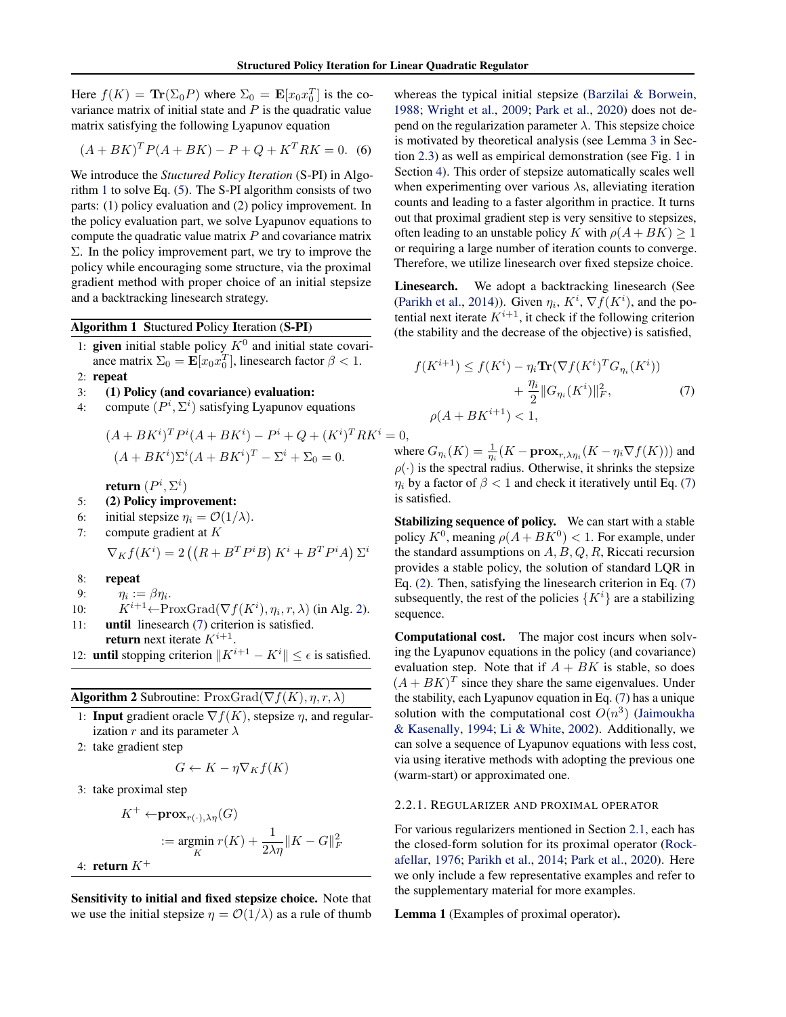<span id="page-3-0"></span>Here  $f(K) = \text{Tr}(\Sigma_0 P)$  where  $\Sigma_0 = \mathbf{E}[x_0 x_0]$  is the covariance matrix of initial state and  $P$  is the quadratic value matrix satisfying the following Lyapunov equation

$$
(A + BK)^T P (A + BK) - P + Q + K^T R K = 0.
$$
 (6)

We introduce the *Stuctured Policy Iteration* (S-PI) in Algorithm 1 to solve Eq. [\(5\)](#page-2-0). The S-PI algorithm consists of two parts: (1) policy evaluation and (2) policy improvement. In the policy evaluation part, we solve Lyapunov equations to compute the quadratic value matrix  $P$  and covariance matrix  $\Sigma$ . In the policy improvement part, we try to improve the policy while encouraging some structure, via the proximal gradient method with proper choice of an initial stepsize and a backtracking linesearch strategy.

Algorithm 1 Stuctured Policy Iteration (S-PI)

- 1: given initial stable policy  $K^0$  and initial state covariance matrix  $\Sigma_0 = \mathbf{E}[x_0 x_0^T]$ , linesearch factor  $\beta < 1$ .
- 2: repeat
- 3: (1) Policy (and covariance) evaluation:
- 4: compute  $(P^i, \Sigma^i)$  satisfying Lyapunov equations

$$
(A + BK^i)^T P^i (A + BK^i) - P^i + Q + (K^i)^T R K^i = 0,
$$
  

$$
(A + BK^i) \Sigma^i (A + BK^i)^T - \Sigma^i + \Sigma_0 = 0.
$$

return  $(P^i, \Sigma^i)$ 

- 5: (2) Policy improvement:
- 6: initial stepsize  $\eta_i = \mathcal{O}(1/\lambda)$ .
- 7: compute gradient at  $K$

$$
\nabla_K f(K^i) = 2\left(\left(R + B^T P^i B\right) K^i + B^T P^i A\right) \Sigma^i
$$

- 8: repeat
- 9:  $\eta_i := \beta \eta_i$ .
- 10:  $K^{i+1} \leftarrow \text{ProxGrad}(\nabla f(K^i), \eta_i, r, \lambda)$  (in Alg. 2).
- 11: until linesearch (7) criterion is satisfied. **return** next iterate  $K^{i+1}$ .
- 12: **until** stopping criterion  $||K^{i+1} K^i|| \leq \epsilon$  is satisfied.

### **Algorithm 2 Subroutine:**  $ProxGrad(\nabla f(K), \eta, r, \lambda)$

1: **Input** gradient oracle  $\nabla f(K)$ , stepsize  $\eta$ , and regularization r and its parameter  $\lambda$ 

2: take gradient step

$$
G \leftarrow K - \eta \nabla_K f(K)
$$

3: take proximal step

$$
K^+ \leftarrow \operatorname{prox}_{r(\cdot), \lambda \eta}(G)
$$
  
 := 
$$
\operatorname*{argmin}_{K} r(K) + \frac{1}{2\lambda\eta} \|K - G\|_{F}^{2}
$$
  
4: **return**  $K^+$ 

Sensitivity to initial and fixed stepsize choice. Note that we use the initial stepsize  $\eta = O(1/\lambda)$  as a rule of thumb

whereas the typical initial stepsize [\(Barzilai & Borwein,](#page-8-0) [1988;](#page-8-0) [Wright et al.,](#page-10-0) [2009;](#page-10-0) [Park et al.,](#page-9-0) [2020\)](#page-9-0) does not depend on the regularization parameter  $\lambda$ . This stepsize choice is motivated by theoretical analysis (see Lemma [3](#page-4-0) in Section [2.3\)](#page-4-0) as well as empirical demonstration (see Fig. [1](#page-6-0) in Section [4\)](#page-6-0). This order of stepsize automatically scales well when experimenting over various  $\lambda$ s, alleviating iteration counts and leading to a faster algorithm in practice. It turns out that proximal gradient step is very sensitive to stepsizes, often leading to an unstable policy K with  $\rho(A + BK) \ge 1$ or requiring a large number of iteration counts to converge. Therefore, we utilize linesearch over fixed stepsize choice.

Linesearch. We adopt a backtracking linesearch (See [\(Parikh et al.,](#page-9-0) [2014\)](#page-9-0)). Given  $\eta_i$ ,  $K^i$ ,  $\nabla f(K^i)$ , and the potential next iterate  $K^{i+1}$ , it check if the following criterion (the stability and the decrease of the objective) is satisfied,

$$
f(K^{i+1}) \le f(K^i) - \eta_i \text{Tr}(\nabla f(K^i)^T G_{\eta_i}(K^i))
$$
  
+  $\frac{\eta_i}{2} ||G_{\eta_i}(K^i)||_F^2$ , (7)  
 $\rho(A + BK^{i+1}) < 1$ ,

where  $G_{\eta_i}(K) = \frac{1}{\eta_i}(K - \mathbf{prox}_{r,\lambda\eta_i}(K - \eta_i \nabla f(K)))$  and  $\rho(\cdot)$  is the spectral radius. Otherwise, it shrinks the stepsize  $\eta_i$  by a factor of  $\beta < 1$  and check it iteratively until Eq. (7) is satisfied.

Stabilizing sequence of policy. We can start with a stable policy  $K^0$ , meaning  $\rho(A + BK^0) < 1$ . For example, under the standard assumptions on  $A, B, Q, R$ , Riccati recursion provides a stable policy, the solution of standard LQR in Eq. [\(2\)](#page-1-0). Then, satisfying the linesearch criterion in Eq. (7) subsequently, the rest of the policies  $\{K^i\}$  are a stabilizing sequence.

Computational cost. The major cost incurs when solving the Lyapunov equations in the policy (and covariance) evaluation step. Note that if  $A + BK$  is stable, so does  $(A + BK)^T$  since they share the same eigenvalues. Under the stability, each Lyapunov equation in Eq. (7) has a unique solution with the computational cost  $O(n^3)$  [\(Jaimoukha](#page-8-0) [& Kasenally,](#page-8-0) [1994;](#page-8-0) [Li & White,](#page-9-0) [2002\)](#page-9-0). Additionally, we can solve a sequence of Lyapunov equations with less cost, via using iterative methods with adopting the previous one (warm-start) or approximated one.

#### 2.2.1. REGULARIZER AND PROXIMAL OPERATOR

For various regularizers mentioned in Section [2.1,](#page-2-0) each has the closed-form solution for its proximal operator [\(Rock](#page-9-0)[afellar,](#page-9-0) [1976;](#page-9-0) [Parikh et al.,](#page-9-0) [2014;](#page-9-0) [Park et al.,](#page-9-0) [2020\)](#page-9-0). Here we only include a few representative examples and refer to the supplementary material for more examples.

Lemma 1 (Examples of proximal operator).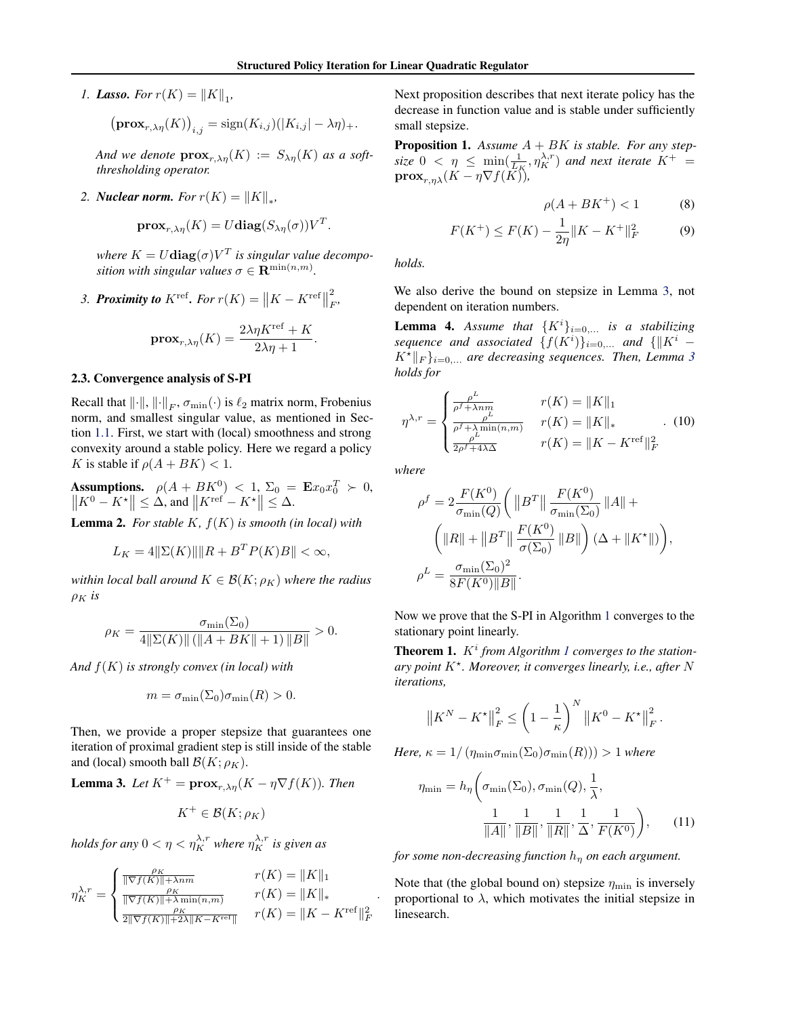<span id="page-4-0"></span>*1. Lasso. For*  $r(K) = ||K||_1$ ,

$$
\left(\mathbf{prox}_{r,\lambda\eta}(K)\right)_{i,j} = \text{sign}(K_{i,j})\left(|K_{i,j}| - \lambda\eta\right)_{+}.
$$

*And we denote*  $\mathbf{prox}_{r, \lambda \eta}(K) := S_{\lambda \eta}(K)$  *as a softthresholding operator.*

*2. Nuclear norm. For*  $r(K) = ||K||_*$ ,

$$
\mathbf{prox}_{r,\lambda\eta}(K) = U \mathbf{diag}(S_{\lambda\eta}(\sigma))V^T.
$$

where  $K = U \text{diag}(\sigma) V^T$  is singular value decompo*sition with singular values*  $\sigma \in \mathbf{R}^{\min(n,m)}$ .

3. **Proximity to**  $K^{\text{ref}}$ . For  $r(K) = ||K - K^{\text{ref}}||$ 2 F *,*

$$
\mathbf{prox}_{r,\lambda\eta}(K) = \frac{2\lambda\eta K^{\text{ref}} + K}{2\lambda\eta + 1}.
$$

# 2.3. Convergence analysis of S-PI

Recall that  $\|\cdot\|$ ,  $\|\cdot\|_F$ ,  $\sigma_{\min}(\cdot)$  is  $\ell_2$  matrix norm, Frobenius norm, and smallest singular value, as mentioned in Section [1.1.](#page-1-0) First, we start with (local) smoothness and strong convexity around a stable policy. Here we regard a policy K is stable if  $\rho(A + BK) < 1$ .

Assumptions.  $\rho(A + BK^0) < 1$ ,  $\Sigma_0 = \mathbf{E}x_0 x_0^T > 0$ ,<br>  $||K^0 - K^*|| \leq \Delta$ , and  $||K^{\text{ref}} - K^*|| \leq \Delta$ .

Lemma 2. *For stable* K*,* f(K) *is smooth (in local) with*

$$
L_K = 4||\Sigma(K)|| ||R + B^T P(K)B|| < \infty,
$$

*within local ball around*  $K \in \mathcal{B}(K; \rho_K)$  *where the radius*  $\rho_K$  *is* 

$$
\rho_K = \frac{\sigma_{\min}(\Sigma_0)}{4\|\Sigma(K)\| (\|A + BK\| + 1) \|B\|} > 0.
$$

*And* f(K) *is strongly convex (in local) with*

$$
m = \sigma_{\min}(\Sigma_0)\sigma_{\min}(R) > 0.
$$

Then, we provide a proper stepsize that guarantees one iteration of proximal gradient step is still inside of the stable and (local) smooth ball  $\mathcal{B}(K; \rho_K)$ .

**Lemma 3.** Let  $K^+$  =  $\mathbf{prox}_{r,\lambda\eta}(K - \eta \nabla f(K))$ . Then

$$
K^+ \in \mathcal{B}(K; \rho_K)
$$

holds for any  $0 < \eta < \eta_K^{\lambda,r}$  where  $\eta_K^{\lambda,r}$  is given as

$$
\eta_K^{\lambda,r} = \begin{cases} \frac{\rho_K}{\|\nabla f(K)\| + \lambda nm} & r(K) = \|K\|_1 \\ \frac{\rho_K}{\|\nabla f(K)\| + \lambda \min(n,m)} & r(K) = \|K\|_* \\ \frac{\rho_K}{2\|\nabla f(K)\| + 2\lambda \|K - K^{\text{ref}}\|} & r(K) = \|K - K^{\text{ref}}\|_F^2 \end{cases}.
$$

Next proposition describes that next iterate policy has the decrease in function value and is stable under sufficiently small stepsize.

Proposition 1. *Assume* A + BK *is stable. For any step* $size \space 0 < \eta \leq \min_{\substack{L,K \ LK}}(\frac{1}{L_K}, \eta_K^{\lambda,r})$  and next iterate  $K^+ =$  $\mathbf{prox}_{r, \eta \lambda}(K - \eta \nabla f(K)),$ 

$$
\rho(A + BK^+) < 1 \tag{8}
$$

$$
F(K^{+}) \le F(K) - \frac{1}{2\eta} \|K - K^{+}\|_{F}^{2} \tag{9}
$$

*holds.*

We also derive the bound on stepsize in Lemma 3, not dependent on iteration numbers.

**Lemma 4.** Assume that  ${K^i}_{i=0,\ldots}$  is a stabilizing *sequence and associated*  $\{f(K^i)\}_{i=0,\dots}$  and  $\{\|K^i K^*||_F$ <sub>i=0,...</sub> *are decreasing sequences. Then, Lemma* 3 *holds for*

$$
\eta^{\lambda,r} = \begin{cases} \frac{\rho^L}{\rho^f + \lambda nm} & r(K) = \|K\|_1\\ \frac{\rho^L}{\rho^f + \lambda \min(n,m)} & r(K) = \|K\|_*\\ \frac{\rho^L}{2\rho^f + 4\lambda \Delta} & r(K) = \|K - K^{\text{ref}}\|_F^2 \end{cases} . (10)
$$

*where*

$$
\rho^{f} = 2 \frac{F(K^{0})}{\sigma_{\min}(Q)} \bigg( \left\| B^{T} \right\| \frac{F(K^{0})}{\sigma_{\min}(\Sigma_{0})} \left\| A \right\| + \left\| R \right\| + \left\| B^{T} \right\| \frac{F(K^{0})}{\sigma(\Sigma_{0})} \left\| B \right\| \bigg) (\Delta + \left\| K^{\star} \right\|) \bigg),
$$

$$
\rho^{L} = \frac{\sigma_{\min}(\Sigma_{0})^{2}}{8F(K^{0})\| B \|}.
$$

Now we prove that the S-PI in Algorithm [1](#page-3-0) converges to the stationary point linearly.

**Theorem [1](#page-3-0).**  $K^i$  from Algorithm 1 converges to the station*ary point* K? *. Moreover, it converges linearly, i.e., after* N *iterations,*

$$
\left\|K^{N} - K^{\star}\right\|_{F}^{2} \leq \left(1 - \frac{1}{\kappa}\right)^{N} \left\|K^{0} - K^{\star}\right\|_{F}^{2}.
$$

*Here,*  $\kappa = 1/(\eta_{\min} \sigma_{\min}(\Sigma_0) \sigma_{\min}(R))) > 1$  *where* 

$$
\eta_{\min} = h_{\eta} \left( \sigma_{\min}(\Sigma_0), \sigma_{\min}(Q), \frac{1}{\lambda}, \frac{1}{\|A\|}, \frac{1}{\|B\|}, \frac{1}{\|R\|}, \frac{1}{\Delta}, \frac{1}{F(K^0)} \right), \quad (11)
$$

*for some non-decreasing function*  $h_n$  *on each argument.* 

Note that (the global bound on) stepsize  $\eta_{\text{min}}$  is inversely proportional to  $\lambda$ , which motivates the initial stepsize in linesearch.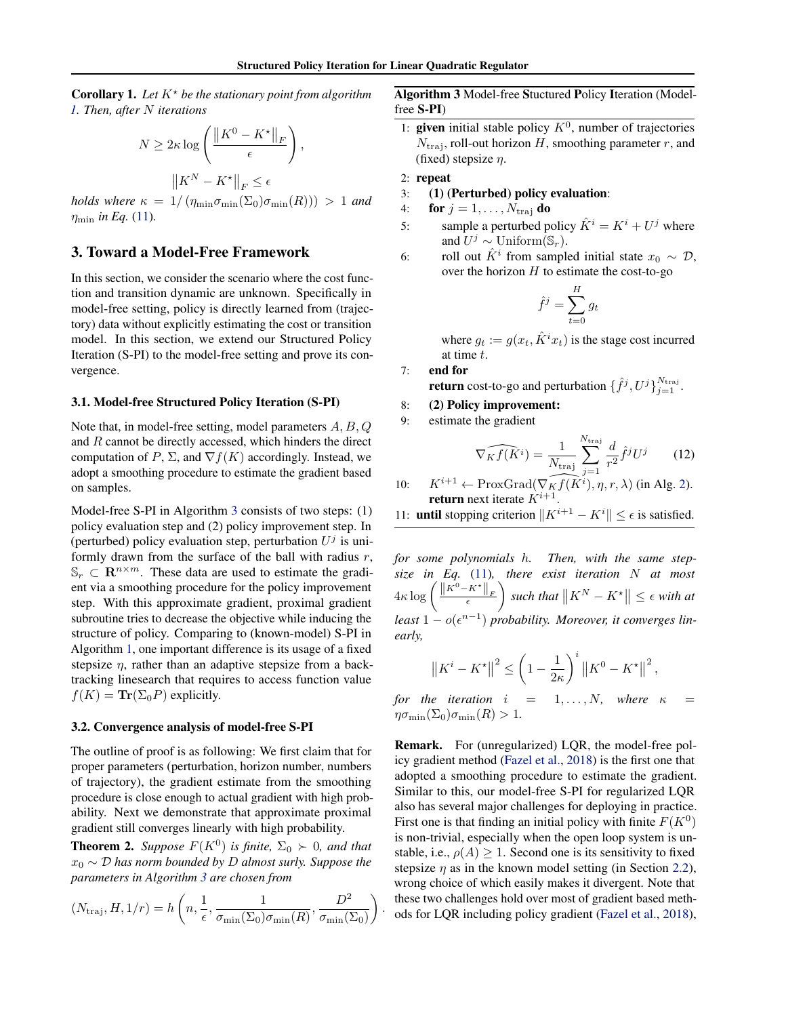<span id="page-5-0"></span>**Corollary 1.** Let  $K^*$  be the stationary point from algorithm *[1.](#page-3-0) Then, after* N *iterations*

$$
N \ge 2\kappa \log \left( \frac{\left\| K^0 - K^{\star} \right\|_F}{\epsilon} \right),
$$

$$
\left\| K^N - K^{\star} \right\|_F \le \epsilon
$$

*holds where*  $\kappa = 1/( \eta_{\min} \sigma_{\min}(\Sigma_0) \sigma_{\min}(R) ) > 1$  *and*  $\eta_{\min}$  *in Eq.* [\(11\)](#page-4-0).

# 3. Toward a Model-Free Framework

In this section, we consider the scenario where the cost function and transition dynamic are unknown. Specifically in model-free setting, policy is directly learned from (trajectory) data without explicitly estimating the cost or transition model. In this section, we extend our Structured Policy Iteration (S-PI) to the model-free setting and prove its convergence.

### 3.1. Model-free Structured Policy Iteration (S-PI)

Note that, in model-free setting, model parameters A, B, Q and R cannot be directly accessed, which hinders the direct computation of P,  $\Sigma$ , and  $\nabla f(K)$  accordingly. Instead, we adopt a smoothing procedure to estimate the gradient based on samples.

Model-free S-PI in Algorithm 3 consists of two steps: (1) policy evaluation step and (2) policy improvement step. In (perturbed) policy evaluation step, perturbation  $U^j$  is uniformly drawn from the surface of the ball with radius  $r$ ,  $\mathbb{S}_r \subset \mathbb{R}^{n \times m}$ . These data are used to estimate the gradient via a smoothing procedure for the policy improvement step. With this approximate gradient, proximal gradient subroutine tries to decrease the objective while inducing the structure of policy. Comparing to (known-model) S-PI in Algorithm [1,](#page-3-0) one important difference is its usage of a fixed stepsize  $\eta$ , rather than an adaptive stepsize from a backtracking linesearch that requires to access function value  $f(K) = \text{Tr}(\Sigma_0 P)$  explicitly.

#### 3.2. Convergence analysis of model-free S-PI

The outline of proof is as following: We first claim that for proper parameters (perturbation, horizon number, numbers of trajectory), the gradient estimate from the smoothing procedure is close enough to actual gradient with high probability. Next we demonstrate that approximate proximal gradient still converges linearly with high probability.

**Theorem 2.** *Suppose*  $F(K^0)$  *is finite,*  $\Sigma_0 \succ 0$ *, and that* x<sup>0</sup> ∼ D *has norm bounded by* D *almost surly. Suppose the parameters in Algorithm 3 are chosen from*

$$
(N_{\text{traj}}, H, 1/r) = h\left(n, \frac{1}{\epsilon}, \frac{1}{\sigma_{\min}(\Sigma_0)\sigma_{\min}(R)}, \frac{D^2}{\sigma_{\min}(\Sigma_0)}\right)
$$

.

Algorithm 3 Model-free Stuctured Policy Iteration (Modelfree S-PI)

- 1: given initial stable policy  $K^0$ , number of trajectories  $N_{\text{traj}}$ , roll-out horizon H, smoothing parameter r, and (fixed) stepsize  $\eta$ .
- 2: repeat

3: (1) (Perturbed) policy evaluation:

- 4: for  $j = 1, \ldots, N_{\text{traj}}$  do
- 5: sample a perturbed policy  $\hat{K}^i = K^i + U^j$  where and  $U^j \sim \text{Uniform}(\mathbb{S}_r)$ .
- 6: roll out  $\hat{K}^i$  from sampled initial state  $x_0 \sim \mathcal{D}$ , over the horizon  $H$  to estimate the cost-to-go

$$
\hat{f}^j = \sum_{t=0}^H g_t
$$

where  $g_t := g(x_t, \hat{K}^i x_t)$  is the stage cost incurred at time t.

7: end for

**return** cost-to-go and perturbation  $\{\hat{f}^j, U^j\}_{j=1}^{N_{\text{traj}}}.$ 

- 8: (2) Policy improvement:
- 9: estimate the gradient

$$
\widehat{\nabla_K f(K^i)} = \frac{1}{N_{\text{traj}}} \sum_{j=1}^{N_{\text{traj}}} \frac{d}{r^2} \hat{f}^j U^j \qquad (12)
$$

10: 
$$
K^{i+1}
$$
  $\leftarrow$  ProxGrad( $\widehat{\nabla_K f(K^i)}$ ,  $\eta$ ,  $r$ ,  $\lambda$ ) (in Alg. 2).  
return next iterate  $K^{i+1}$ .

11: **until** stopping criterion  $||K^{i+1} - K^i|| \leq \epsilon$  is satisfied.

*for some polynomials* h*. Then, with the same stepsize in Eq.* [\(11\)](#page-4-0)*, there exist iteration* N *at most*  $4\kappa\log\left(\frac{\left\|K^0-K^\star\right\|_F}{\epsilon}\right)$  $\left\| K^N - K^{\star} \right\| \leq \epsilon$  with at *least*  $1 - o(\epsilon^{n-1})$  *probability. Moreover, it converges linearly,*

$$
\left\|K^{i} - K^{\star}\right\|^{2} \leq \left(1 - \frac{1}{2\kappa}\right)^{i} \left\|K^{0} - K^{\star}\right\|^{2},
$$

*for the iteration*  $i = 1, ..., N$ , where  $\kappa =$  $\eta \sigma_{\min}(\Sigma_0) \sigma_{\min}(R) > 1.$ 

Remark. For (unregularized) LQR, the model-free policy gradient method [\(Fazel et al.,](#page-8-0) [2018\)](#page-8-0) is the first one that adopted a smoothing procedure to estimate the gradient. Similar to this, our model-free S-PI for regularized LQR also has several major challenges for deploying in practice. First one is that finding an initial policy with finite  $F(K^0)$ is non-trivial, especially when the open loop system is unstable, i.e.,  $\rho(A) \geq 1$ . Second one is its sensitivity to fixed stepsize  $\eta$  as in the known model setting (in Section [2.2\)](#page-2-0), wrong choice of which easily makes it divergent. Note that these two challenges hold over most of gradient based methods for LQR including policy gradient [\(Fazel et al.,](#page-8-0) [2018\)](#page-8-0),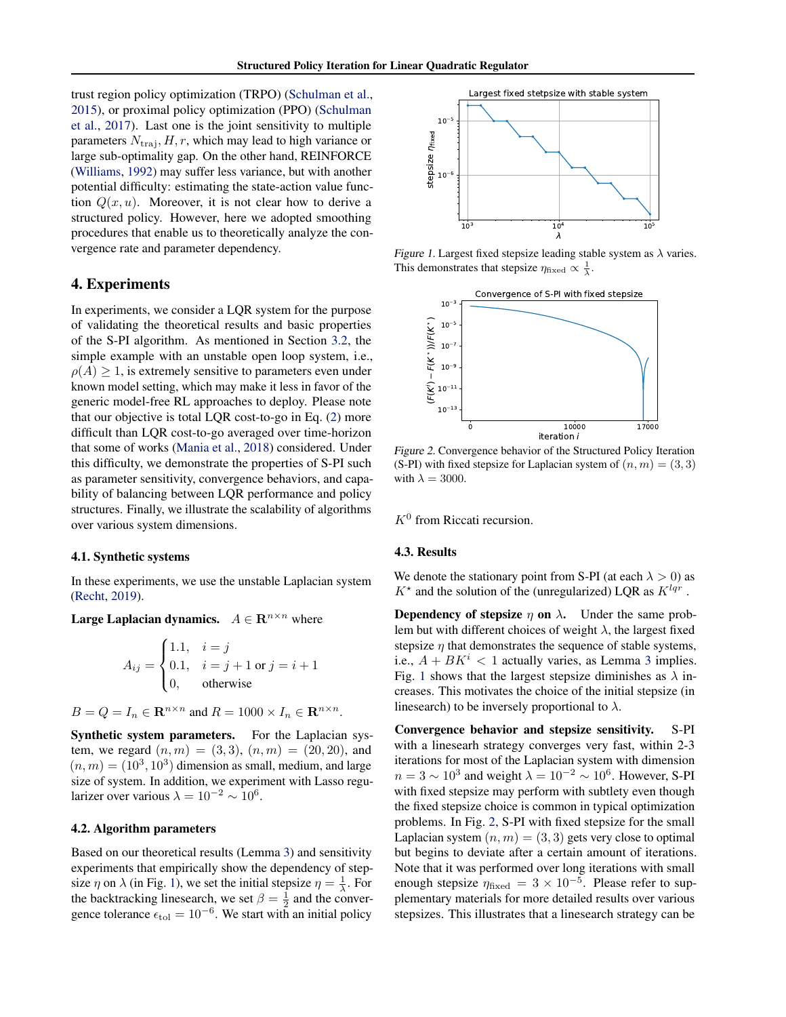<span id="page-6-0"></span>trust region policy optimization (TRPO) [\(Schulman et al.,](#page-9-0) [2015\)](#page-9-0), or proximal policy optimization (PPO) [\(Schulman](#page-9-0) [et al.,](#page-9-0) [2017\)](#page-9-0). Last one is the joint sensitivity to multiple parameters  $N_{\text{traj}}$ ,  $H, r$ , which may lead to high variance or large sub-optimality gap. On the other hand, REINFORCE [\(Williams,](#page-10-0) [1992\)](#page-10-0) may suffer less variance, but with another potential difficulty: estimating the state-action value function  $Q(x, u)$ . Moreover, it is not clear how to derive a structured policy. However, here we adopted smoothing procedures that enable us to theoretically analyze the convergence rate and parameter dependency.

# 4. Experiments

In experiments, we consider a LQR system for the purpose of validating the theoretical results and basic properties of the S-PI algorithm. As mentioned in Section [3.2,](#page-5-0) the simple example with an unstable open loop system, i.e.,  $\rho(A) > 1$ , is extremely sensitive to parameters even under known model setting, which may make it less in favor of the generic model-free RL approaches to deploy. Please note that our objective is total LQR cost-to-go in Eq. [\(2\)](#page-1-0) more difficult than LQR cost-to-go averaged over time-horizon that some of works [\(Mania et al.,](#page-9-0) [2018\)](#page-9-0) considered. Under this difficulty, we demonstrate the properties of S-PI such as parameter sensitivity, convergence behaviors, and capability of balancing between LQR performance and policy structures. Finally, we illustrate the scalability of algorithms over various system dimensions.

### 4.1. Synthetic systems

In these experiments, we use the unstable Laplacian system [\(Recht,](#page-9-0) [2019\)](#page-9-0).

Large Laplacian dynamics.  $A \in \mathbb{R}^{n \times n}$  where

$$
A_{ij} = \begin{cases} 1.1, & i = j \\ 0.1, & i = j + 1 \text{ or } j = i + 1 \\ 0, & \text{otherwise} \end{cases}
$$

 $B = Q = I_n \in \mathbf{R}^{n \times n}$  and  $R = 1000 \times I_n \in \mathbf{R}^{n \times n}$ .

Synthetic system parameters. For the Laplacian system, we regard  $(n, m) = (3, 3), (n, m) = (20, 20)$ , and  $(n, m) = (10<sup>3</sup>, 10<sup>3</sup>)$  dimension as small, medium, and large size of system. In addition, we experiment with Lasso regularizer over various  $\lambda = 10^{-2} \sim 10^6$ .

#### 4.2. Algorithm parameters

Based on our theoretical results (Lemma [3\)](#page-4-0) and sensitivity experiments that empirically show the dependency of stepsize  $\eta$  on  $\lambda$  (in Fig. 1), we set the initial stepsize  $\eta = \frac{1}{\lambda}$ . For the backtracking linesearch, we set  $\beta = \frac{1}{2}$  and the convergence tolerance  $\epsilon_{\text{tol}} = 10^{-6}$ . We start with an initial policy



Figure 1. Largest fixed stepsize leading stable system as  $\lambda$  varies. This demonstrates that stepsize  $\eta_{\text{fixed}} \propto \frac{1}{\lambda}$ .



Figure 2. Convergence behavior of the Structured Policy Iteration (S-PI) with fixed stepsize for Laplacian system of  $(n, m) = (3, 3)$ with  $\lambda = 3000$ .

 $K^0$  from Riccati recursion.

### 4.3. Results

We denote the stationary point from S-PI (at each  $\lambda > 0$ ) as  $K^*$  and the solution of the (unregularized) LQR as  $K^{lqr}$ .

**Dependency of stepsize**  $\eta$  on  $\lambda$ . Under the same problem but with different choices of weight  $\lambda$ , the largest fixed stepsize  $\eta$  that demonstrates the sequence of stable systems, i.e.,  $A + BK^i < 1$  actually varies, as Lemma [3](#page-4-0) implies. Fig. 1 shows that the largest stepsize diminishes as  $\lambda$  increases. This motivates the choice of the initial stepsize (in linesearch) to be inversely proportional to  $\lambda$ .

Convergence behavior and stepsize sensitivity. S-PI with a linesearh strategy converges very fast, within 2-3 iterations for most of the Laplacian system with dimension  $n = 3 \sim 10^3$  and weight  $\lambda = 10^{-2} \sim 10^6$ . However, S-PI with fixed stepsize may perform with subtlety even though the fixed stepsize choice is common in typical optimization problems. In Fig. 2, S-PI with fixed stepsize for the small Laplacian system  $(n, m) = (3, 3)$  gets very close to optimal but begins to deviate after a certain amount of iterations. Note that it was performed over long iterations with small enough stepsize  $\eta_{\text{fixed}} = 3 \times 10^{-5}$ . Please refer to supplementary materials for more detailed results over various stepsizes. This illustrates that a linesearch strategy can be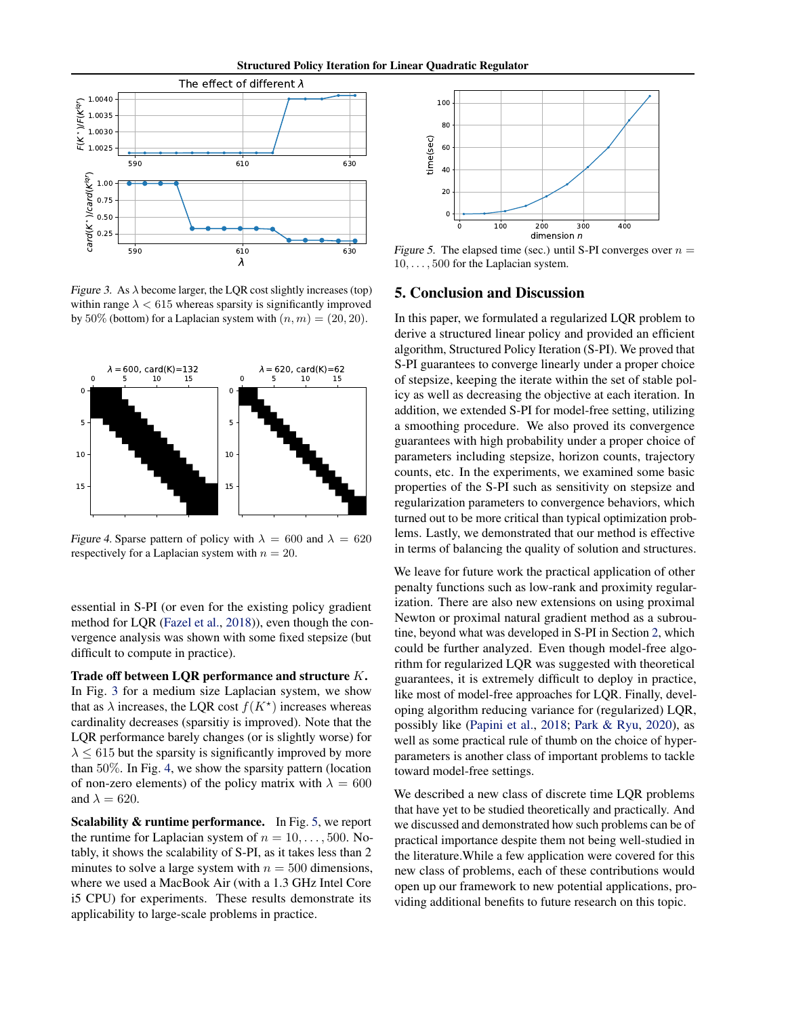

Figure 3. As  $\lambda$  become larger, the LQR cost slightly increases (top) within range  $\lambda < 615$  whereas sparsity is significantly improved by 50% (bottom) for a Laplacian system with  $(n, m) = (20, 20)$ .



Figure 4. Sparse pattern of policy with  $\lambda = 600$  and  $\lambda = 620$ respectively for a Laplacian system with  $n = 20$ .

essential in S-PI (or even for the existing policy gradient method for LQR [\(Fazel et al.,](#page-8-0) [2018\)](#page-8-0)), even though the convergence analysis was shown with some fixed stepsize (but difficult to compute in practice).

Trade off between LQR performance and structure K. In Fig. 3 for a medium size Laplacian system, we show that as  $\lambda$  increases, the LQR cost  $f(K^*)$  increases whereas cardinality decreases (sparsitiy is improved). Note that the LQR performance barely changes (or is slightly worse) for  $\lambda \leq 615$  but the sparsity is significantly improved by more than 50%. In Fig. 4, we show the sparsity pattern (location of non-zero elements) of the policy matrix with  $\lambda = 600$ and  $\lambda = 620$ .

**Scalability & runtime performance.** In Fig. 5, we report the runtime for Laplacian system of  $n = 10, \ldots, 500$ . Notably, it shows the scalability of S-PI, as it takes less than 2 minutes to solve a large system with  $n = 500$  dimensions, where we used a MacBook Air (with a 1.3 GHz Intel Core i5 CPU) for experiments. These results demonstrate its applicability to large-scale problems in practice.



Figure 5. The elapsed time (sec.) until S-PI converges over  $n =$  $10, \ldots, 500$  for the Laplacian system.

### 5. Conclusion and Discussion

In this paper, we formulated a regularized LQR problem to derive a structured linear policy and provided an efficient algorithm, Structured Policy Iteration (S-PI). We proved that S-PI guarantees to converge linearly under a proper choice of stepsize, keeping the iterate within the set of stable policy as well as decreasing the objective at each iteration. In addition, we extended S-PI for model-free setting, utilizing a smoothing procedure. We also proved its convergence guarantees with high probability under a proper choice of parameters including stepsize, horizon counts, trajectory counts, etc. In the experiments, we examined some basic properties of the S-PI such as sensitivity on stepsize and regularization parameters to convergence behaviors, which turned out to be more critical than typical optimization problems. Lastly, we demonstrated that our method is effective in terms of balancing the quality of solution and structures.

We leave for future work the practical application of other penalty functions such as low-rank and proximity regularization. There are also new extensions on using proximal Newton or proximal natural gradient method as a subroutine, beyond what was developed in S-PI in Section [2,](#page-2-0) which could be further analyzed. Even though model-free algorithm for regularized LQR was suggested with theoretical guarantees, it is extremely difficult to deploy in practice, like most of model-free approaches for LQR. Finally, developing algorithm reducing variance for (regularized) LQR, possibly like [\(Papini et al.,](#page-9-0) [2018;](#page-9-0) [Park & Ryu,](#page-9-0) [2020\)](#page-9-0), as well as some practical rule of thumb on the choice of hyperparameters is another class of important problems to tackle toward model-free settings.

We described a new class of discrete time LQR problems that have yet to be studied theoretically and practically. And we discussed and demonstrated how such problems can be of practical importance despite them not being well-studied in the literature.While a few application were covered for this new class of problems, each of these contributions would open up our framework to new potential applications, providing additional benefits to future research on this topic.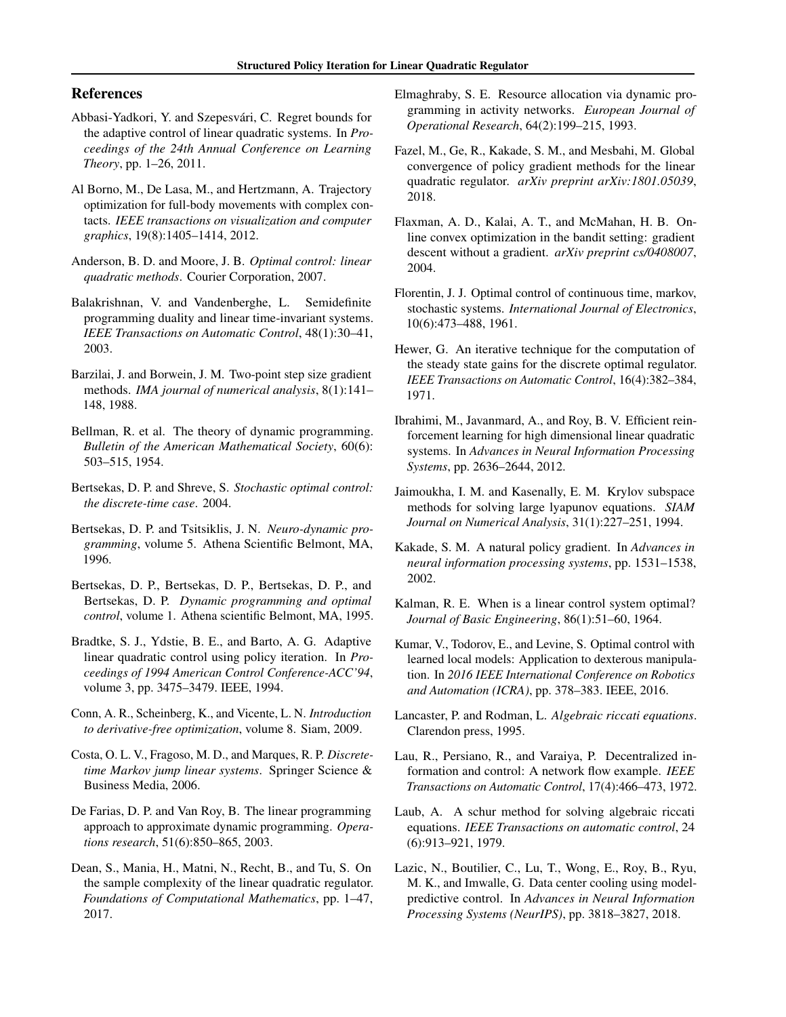# <span id="page-8-0"></span>References

- Abbasi-Yadkori, Y. and Szepesvári, C. Regret bounds for the adaptive control of linear quadratic systems. In *Proceedings of the 24th Annual Conference on Learning Theory*, pp. 1–26, 2011.
- Al Borno, M., De Lasa, M., and Hertzmann, A. Trajectory optimization for full-body movements with complex contacts. *IEEE transactions on visualization and computer graphics*, 19(8):1405–1414, 2012.
- Anderson, B. D. and Moore, J. B. *Optimal control: linear quadratic methods*. Courier Corporation, 2007.
- Balakrishnan, V. and Vandenberghe, L. Semidefinite programming duality and linear time-invariant systems. *IEEE Transactions on Automatic Control*, 48(1):30–41, 2003.
- Barzilai, J. and Borwein, J. M. Two-point step size gradient methods. *IMA journal of numerical analysis*, 8(1):141– 148, 1988.
- Bellman, R. et al. The theory of dynamic programming. *Bulletin of the American Mathematical Society*, 60(6): 503–515, 1954.
- Bertsekas, D. P. and Shreve, S. *Stochastic optimal control: the discrete-time case*. 2004.
- Bertsekas, D. P. and Tsitsiklis, J. N. *Neuro-dynamic programming*, volume 5. Athena Scientific Belmont, MA, 1996.
- Bertsekas, D. P., Bertsekas, D. P., Bertsekas, D. P., and Bertsekas, D. P. *Dynamic programming and optimal control*, volume 1. Athena scientific Belmont, MA, 1995.
- Bradtke, S. J., Ydstie, B. E., and Barto, A. G. Adaptive linear quadratic control using policy iteration. In *Proceedings of 1994 American Control Conference-ACC'94*, volume 3, pp. 3475–3479. IEEE, 1994.
- Conn, A. R., Scheinberg, K., and Vicente, L. N. *Introduction to derivative-free optimization*, volume 8. Siam, 2009.
- Costa, O. L. V., Fragoso, M. D., and Marques, R. P. *Discretetime Markov jump linear systems*. Springer Science & Business Media, 2006.
- De Farias, D. P. and Van Roy, B. The linear programming approach to approximate dynamic programming. *Operations research*, 51(6):850–865, 2003.
- Dean, S., Mania, H., Matni, N., Recht, B., and Tu, S. On the sample complexity of the linear quadratic regulator. *Foundations of Computational Mathematics*, pp. 1–47, 2017.
- Elmaghraby, S. E. Resource allocation via dynamic programming in activity networks. *European Journal of Operational Research*, 64(2):199–215, 1993.
- Fazel, M., Ge, R., Kakade, S. M., and Mesbahi, M. Global convergence of policy gradient methods for the linear quadratic regulator. *arXiv preprint arXiv:1801.05039*, 2018.
- Flaxman, A. D., Kalai, A. T., and McMahan, H. B. Online convex optimization in the bandit setting: gradient descent without a gradient. *arXiv preprint cs/0408007*, 2004.
- Florentin, J. J. Optimal control of continuous time, markov, stochastic systems. *International Journal of Electronics*, 10(6):473–488, 1961.
- Hewer, G. An iterative technique for the computation of the steady state gains for the discrete optimal regulator. *IEEE Transactions on Automatic Control*, 16(4):382–384, 1971.
- Ibrahimi, M., Javanmard, A., and Roy, B. V. Efficient reinforcement learning for high dimensional linear quadratic systems. In *Advances in Neural Information Processing Systems*, pp. 2636–2644, 2012.
- Jaimoukha, I. M. and Kasenally, E. M. Krylov subspace methods for solving large lyapunov equations. *SIAM Journal on Numerical Analysis*, 31(1):227–251, 1994.
- Kakade, S. M. A natural policy gradient. In *Advances in neural information processing systems*, pp. 1531–1538, 2002.
- Kalman, R. E. When is a linear control system optimal? *Journal of Basic Engineering*, 86(1):51–60, 1964.
- Kumar, V., Todorov, E., and Levine, S. Optimal control with learned local models: Application to dexterous manipulation. In *2016 IEEE International Conference on Robotics and Automation (ICRA)*, pp. 378–383. IEEE, 2016.
- Lancaster, P. and Rodman, L. *Algebraic riccati equations*. Clarendon press, 1995.
- Lau, R., Persiano, R., and Varaiya, P. Decentralized information and control: A network flow example. *IEEE Transactions on Automatic Control*, 17(4):466–473, 1972.
- Laub, A. A schur method for solving algebraic riccati equations. *IEEE Transactions on automatic control*, 24 (6):913–921, 1979.
- Lazic, N., Boutilier, C., Lu, T., Wong, E., Roy, B., Ryu, M. K., and Imwalle, G. Data center cooling using modelpredictive control. In *Advances in Neural Information Processing Systems (NeurIPS)*, pp. 3818–3827, 2018.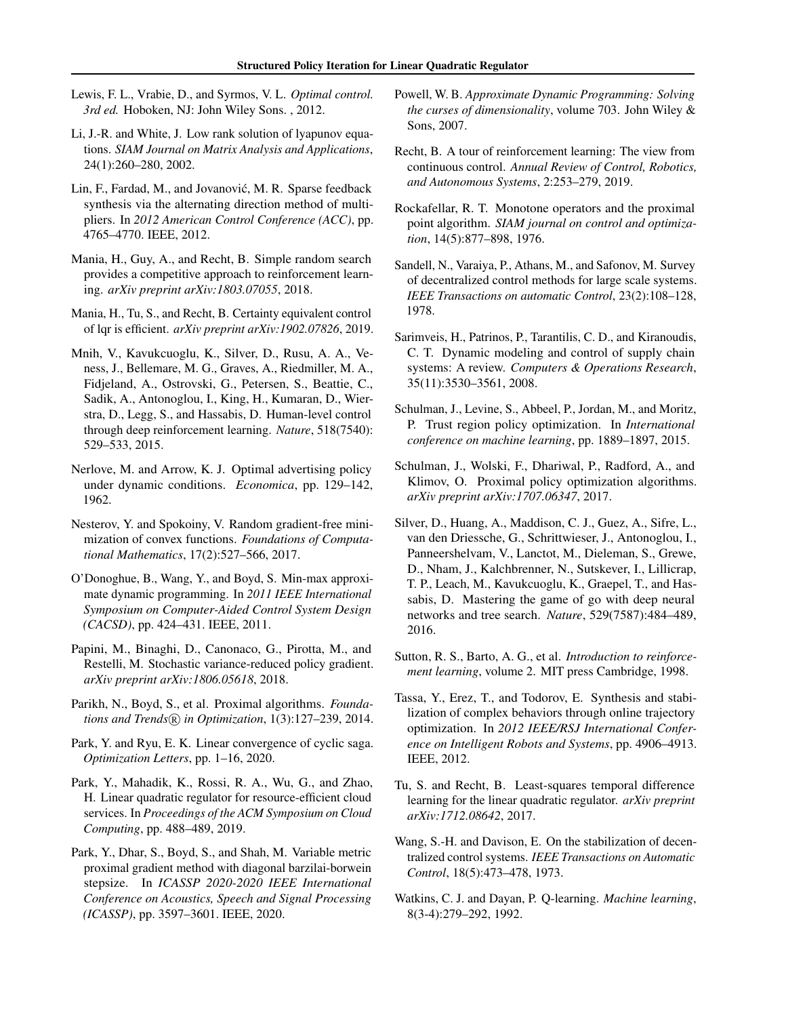- <span id="page-9-0"></span>Lewis, F. L., Vrabie, D., and Syrmos, V. L. *Optimal control. 3rd ed.* Hoboken, NJ: John Wiley Sons. , 2012.
- Li, J.-R. and White, J. Low rank solution of lyapunov equations. *SIAM Journal on Matrix Analysis and Applications*, 24(1):260–280, 2002.
- Lin, F., Fardad, M., and Jovanović, M. R. Sparse feedback synthesis via the alternating direction method of multipliers. In *2012 American Control Conference (ACC)*, pp. 4765–4770. IEEE, 2012.
- Mania, H., Guy, A., and Recht, B. Simple random search provides a competitive approach to reinforcement learning. *arXiv preprint arXiv:1803.07055*, 2018.
- Mania, H., Tu, S., and Recht, B. Certainty equivalent control of lqr is efficient. *arXiv preprint arXiv:1902.07826*, 2019.
- Mnih, V., Kavukcuoglu, K., Silver, D., Rusu, A. A., Veness, J., Bellemare, M. G., Graves, A., Riedmiller, M. A., Fidjeland, A., Ostrovski, G., Petersen, S., Beattie, C., Sadik, A., Antonoglou, I., King, H., Kumaran, D., Wierstra, D., Legg, S., and Hassabis, D. Human-level control through deep reinforcement learning. *Nature*, 518(7540): 529–533, 2015.
- Nerlove, M. and Arrow, K. J. Optimal advertising policy under dynamic conditions. *Economica*, pp. 129–142, 1962.
- Nesterov, Y. and Spokoiny, V. Random gradient-free minimization of convex functions. *Foundations of Computational Mathematics*, 17(2):527–566, 2017.
- O'Donoghue, B., Wang, Y., and Boyd, S. Min-max approximate dynamic programming. In *2011 IEEE International Symposium on Computer-Aided Control System Design (CACSD)*, pp. 424–431. IEEE, 2011.
- Papini, M., Binaghi, D., Canonaco, G., Pirotta, M., and Restelli, M. Stochastic variance-reduced policy gradient. *arXiv preprint arXiv:1806.05618*, 2018.
- Parikh, N., Boyd, S., et al. Proximal algorithms. *Foundations and Trends* <sup>R</sup> *in Optimization*, 1(3):127–239, 2014.
- Park, Y. and Ryu, E. K. Linear convergence of cyclic saga. *Optimization Letters*, pp. 1–16, 2020.
- Park, Y., Mahadik, K., Rossi, R. A., Wu, G., and Zhao, H. Linear quadratic regulator for resource-efficient cloud services. In *Proceedings of the ACM Symposium on Cloud Computing*, pp. 488–489, 2019.
- Park, Y., Dhar, S., Boyd, S., and Shah, M. Variable metric proximal gradient method with diagonal barzilai-borwein stepsize. In *ICASSP 2020-2020 IEEE International Conference on Acoustics, Speech and Signal Processing (ICASSP)*, pp. 3597–3601. IEEE, 2020.
- Powell, W. B. *Approximate Dynamic Programming: Solving the curses of dimensionality*, volume 703. John Wiley & Sons, 2007.
- Recht, B. A tour of reinforcement learning: The view from continuous control. *Annual Review of Control, Robotics, and Autonomous Systems*, 2:253–279, 2019.
- Rockafellar, R. T. Monotone operators and the proximal point algorithm. *SIAM journal on control and optimization*, 14(5):877–898, 1976.
- Sandell, N., Varaiya, P., Athans, M., and Safonov, M. Survey of decentralized control methods for large scale systems. *IEEE Transactions on automatic Control*, 23(2):108–128, 1978.
- Sarimveis, H., Patrinos, P., Tarantilis, C. D., and Kiranoudis, C. T. Dynamic modeling and control of supply chain systems: A review. *Computers & Operations Research*, 35(11):3530–3561, 2008.
- Schulman, J., Levine, S., Abbeel, P., Jordan, M., and Moritz, P. Trust region policy optimization. In *International conference on machine learning*, pp. 1889–1897, 2015.
- Schulman, J., Wolski, F., Dhariwal, P., Radford, A., and Klimov, O. Proximal policy optimization algorithms. *arXiv preprint arXiv:1707.06347*, 2017.
- Silver, D., Huang, A., Maddison, C. J., Guez, A., Sifre, L., van den Driessche, G., Schrittwieser, J., Antonoglou, I., Panneershelvam, V., Lanctot, M., Dieleman, S., Grewe, D., Nham, J., Kalchbrenner, N., Sutskever, I., Lillicrap, T. P., Leach, M., Kavukcuoglu, K., Graepel, T., and Hassabis, D. Mastering the game of go with deep neural networks and tree search. *Nature*, 529(7587):484–489, 2016.
- Sutton, R. S., Barto, A. G., et al. *Introduction to reinforcement learning*, volume 2. MIT press Cambridge, 1998.
- Tassa, Y., Erez, T., and Todorov, E. Synthesis and stabilization of complex behaviors through online trajectory optimization. In *2012 IEEE/RSJ International Conference on Intelligent Robots and Systems*, pp. 4906–4913. IEEE, 2012.
- Tu, S. and Recht, B. Least-squares temporal difference learning for the linear quadratic regulator. *arXiv preprint arXiv:1712.08642*, 2017.
- Wang, S.-H. and Davison, E. On the stabilization of decentralized control systems. *IEEE Transactions on Automatic Control*, 18(5):473–478, 1973.
- Watkins, C. J. and Dayan, P. Q-learning. *Machine learning*, 8(3-4):279–292, 1992.